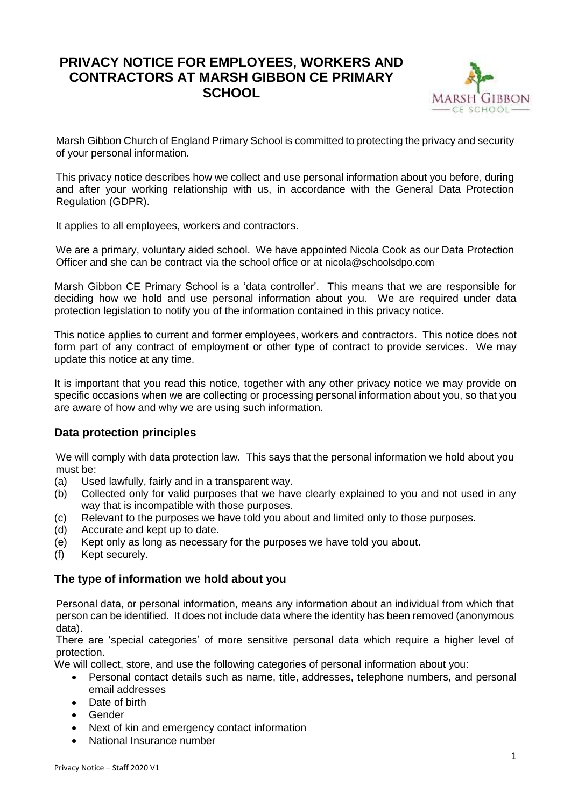# **PRIVACY NOTICE FOR EMPLOYEES, WORKERS AND CONTRACTORS AT MARSH GIBBON CE PRIMARY SCHOOL**



Marsh Gibbon Church of England Primary School is committed to protecting the privacy and security of your personal information.

This privacy notice describes how we collect and use personal information about you before, during and after your working relationship with us, in accordance with the General Data Protection Regulation (GDPR).

It applies to all employees, workers and contractors.

We are a primary, voluntary aided school. We have appointed Nicola Cook as our Data Protection Officer and she can be contract via the school office or at nicola@schoolsdpo.com

Marsh Gibbon CE Primary School is a 'data controller'. This means that we are responsible for deciding how we hold and use personal information about you. We are required under data protection legislation to notify you of the information contained in this privacy notice.

This notice applies to current and former employees, workers and contractors. This notice does not form part of any contract of employment or other type of contract to provide services. We may update this notice at any time.

It is important that you read this notice, together with any other privacy notice we may provide on specific occasions when we are collecting or processing personal information about you, so that you are aware of how and why we are using such information.

## **Data protection principles**

We will comply with data protection law. This says that the personal information we hold about you must be:

- (a) Used lawfully, fairly and in a transparent way.
- (b) Collected only for valid purposes that we have clearly explained to you and not used in any way that is incompatible with those purposes.
- (c) Relevant to the purposes we have told you about and limited only to those purposes.
- (d) Accurate and kept up to date.
- (e) Kept only as long as necessary for the purposes we have told you about.
- (f) Kept securely.

## **The type of information we hold about you**

Personal data, or personal information, means any information about an individual from which that person can be identified. It does not include data where the identity has been removed (anonymous data).

There are 'special categories' of more sensitive personal data which require a higher level of protection.

We will collect, store, and use the following categories of personal information about you:

- Personal contact details such as name, title, addresses, telephone numbers, and personal email addresses
- Date of birth
- Gender
- Next of kin and emergency contact information
- National Insurance number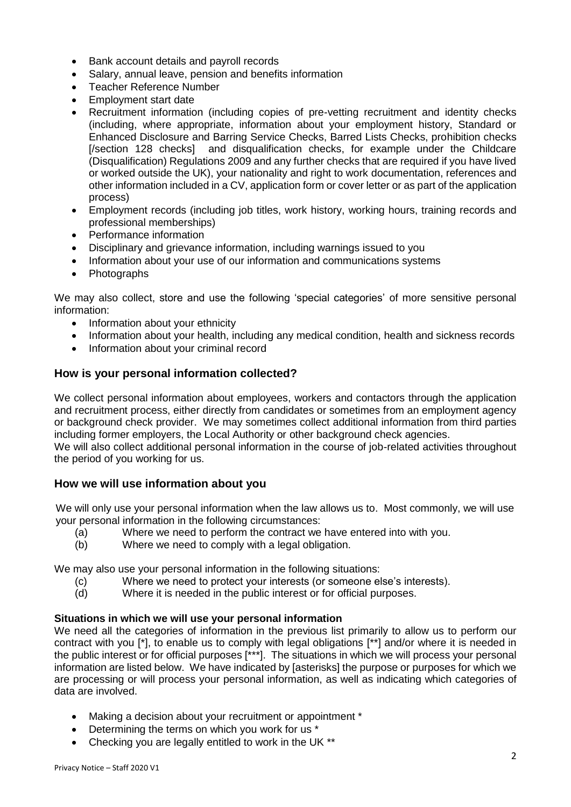- Bank account details and payroll records
- Salary, annual leave, pension and benefits information
- Teacher Reference Number
- Employment start date
- Recruitment information (including copies of pre-vetting recruitment and identity checks (including, where appropriate, information about your employment history, Standard or Enhanced Disclosure and Barring Service Checks, Barred Lists Checks, prohibition checks [/section 128 checks] and disqualification checks, for example under the Childcare (Disqualification) Regulations 2009 and any further checks that are required if you have lived or worked outside the UK), your nationality and right to work documentation, references and other information included in a CV, application form or cover letter or as part of the application process)
- Employment records (including job titles, work history, working hours, training records and professional memberships)
- Performance information
- Disciplinary and grievance information, including warnings issued to you
- Information about your use of our information and communications systems
- Photographs

We may also collect, store and use the following 'special categories' of more sensitive personal information:

- Information about your ethnicity
- Information about your health, including any medical condition, health and sickness records
- Information about your criminal record

## **How is your personal information collected?**

We collect personal information about employees, workers and contactors through the application and recruitment process, either directly from candidates or sometimes from an employment agency or background check provider. We may sometimes collect additional information from third parties including former employers, the Local Authority or other background check agencies.

We will also collect additional personal information in the course of job-related activities throughout the period of you working for us.

## **How we will use information about you**

We will only use your personal information when the law allows us to. Most commonly, we will use your personal information in the following circumstances:

- (a) Where we need to perform the contract we have entered into with you.
- (b) Where we need to comply with a legal obligation.

We may also use your personal information in the following situations:

- (c) Where we need to protect your interests (or someone else's interests).
- (d) Where it is needed in the public interest or for official purposes.

## **Situations in which we will use your personal information**

We need all the categories of information in the previous list primarily to allow us to perform our contract with you [\*], to enable us to comply with legal obligations [\*\*] and/or where it is needed in the public interest or for official purposes [\*\*\*]. The situations in which we will process your personal information are listed below. We have indicated by [asterisks] the purpose or purposes for which we are processing or will process your personal information, as well as indicating which categories of data are involved.

- Making a decision about your recruitment or appointment \*
- Determining the terms on which you work for us \*
- Checking you are legally entitled to work in the UK \*\*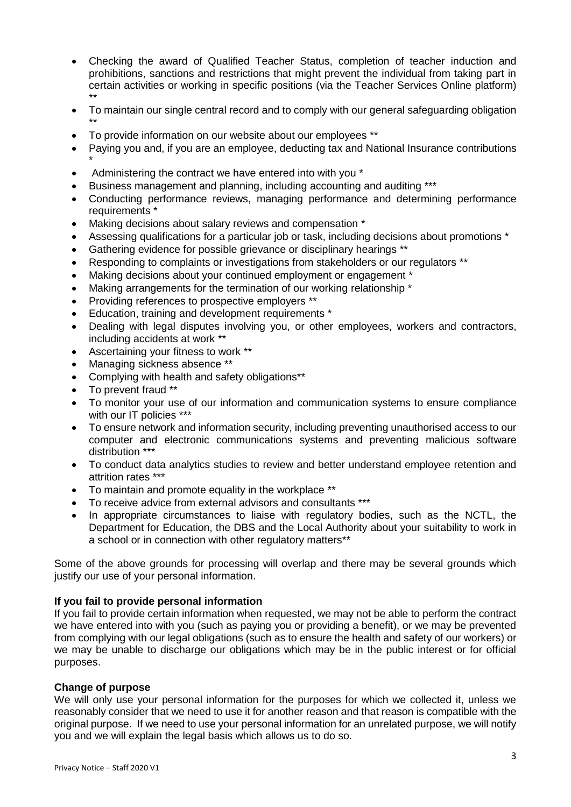- Checking the award of Qualified Teacher Status, completion of teacher induction and prohibitions, sanctions and restrictions that might prevent the individual from taking part in certain activities or working in specific positions (via the Teacher Services Online platform) \*\*
- To maintain our single central record and to comply with our general safeguarding obligation \*\*
- To provide information on our website about our employees \*\*
- Paying you and, if you are an employee, deducting tax and National Insurance contributions \*
- Administering the contract we have entered into with you \*
- Business management and planning, including accounting and auditing \*\*\*
- Conducting performance reviews, managing performance and determining performance requirements \*
- Making decisions about salary reviews and compensation \*
- Assessing qualifications for a particular job or task, including decisions about promotions \*
- Gathering evidence for possible grievance or disciplinary hearings \*\*
- Responding to complaints or investigations from stakeholders or our regulators \*\*
- Making decisions about your continued employment or engagement \*
- Making arrangements for the termination of our working relationship \*
- Providing references to prospective employers \*\*
- Education, training and development requirements \*
- Dealing with legal disputes involving you, or other employees, workers and contractors, including accidents at work \*\*
- Ascertaining your fitness to work \*\*
- Managing sickness absence \*\*
- Complying with health and safety obligations\*\*
- To prevent fraud \*\*
- To monitor your use of our information and communication systems to ensure compliance with our IT policies \*\*\*
- To ensure network and information security, including preventing unauthorised access to our computer and electronic communications systems and preventing malicious software distribution \*\*\*
- To conduct data analytics studies to review and better understand employee retention and attrition rates \*\*\*
- To maintain and promote equality in the workplace \*\*
- To receive advice from external advisors and consultants \*\*\*
- In appropriate circumstances to liaise with regulatory bodies, such as the NCTL, the Department for Education, the DBS and the Local Authority about your suitability to work in a school or in connection with other regulatory matters\*\*

Some of the above grounds for processing will overlap and there may be several grounds which justify our use of your personal information.

#### **If you fail to provide personal information**

If you fail to provide certain information when requested, we may not be able to perform the contract we have entered into with you (such as paying you or providing a benefit), or we may be prevented from complying with our legal obligations (such as to ensure the health and safety of our workers) or we may be unable to discharge our obligations which may be in the public interest or for official purposes.

#### **Change of purpose**

We will only use your personal information for the purposes for which we collected it, unless we reasonably consider that we need to use it for another reason and that reason is compatible with the original purpose. If we need to use your personal information for an unrelated purpose, we will notify you and we will explain the legal basis which allows us to do so.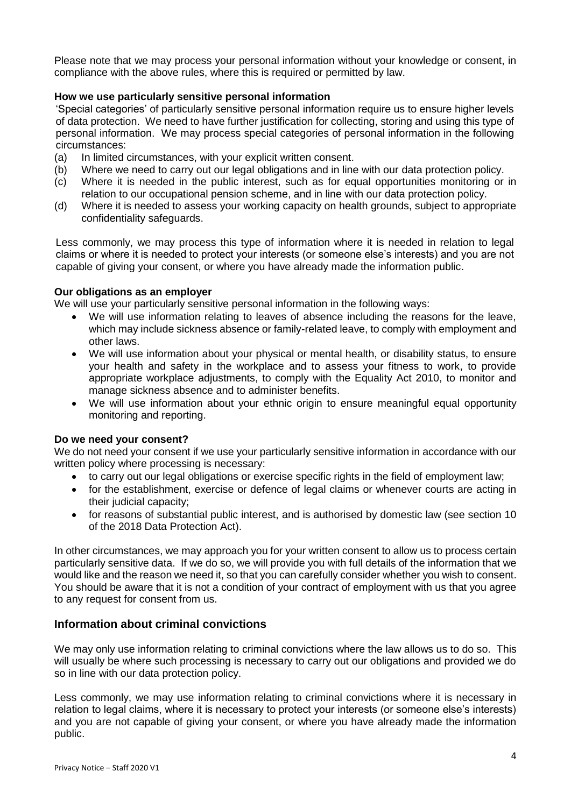Please note that we may process your personal information without your knowledge or consent, in compliance with the above rules, where this is required or permitted by law.

### **How we use particularly sensitive personal information**

'Special categories' of particularly sensitive personal information require us to ensure higher levels of data protection. We need to have further justification for collecting, storing and using this type of personal information. We may process special categories of personal information in the following circumstances:

- (a) In limited circumstances, with your explicit written consent.
- (b) Where we need to carry out our legal obligations and in line with our data protection policy.
- (c) Where it is needed in the public interest, such as for equal opportunities monitoring or in relation to our occupational pension scheme, and in line with our data protection policy.
- (d) Where it is needed to assess your working capacity on health grounds, subject to appropriate confidentiality safeguards.

Less commonly, we may process this type of information where it is needed in relation to legal claims or where it is needed to protect your interests (or someone else's interests) and you are not capable of giving your consent, or where you have already made the information public.

#### **Our obligations as an employer**

We will use your particularly sensitive personal information in the following ways:

- We will use information relating to leaves of absence including the reasons for the leave, which may include sickness absence or family-related leave, to comply with employment and other laws.
- We will use information about your physical or mental health, or disability status, to ensure your health and safety in the workplace and to assess your fitness to work, to provide appropriate workplace adjustments, to comply with the Equality Act 2010, to monitor and manage sickness absence and to administer benefits.
- We will use information about your ethnic origin to ensure meaningful equal opportunity monitoring and reporting.

#### **Do we need your consent?**

We do not need your consent if we use your particularly sensitive information in accordance with our written policy where processing is necessary:

- to carry out our legal obligations or exercise specific rights in the field of employment law;
- for the establishment, exercise or defence of legal claims or whenever courts are acting in their judicial capacity;
- for reasons of substantial public interest, and is authorised by domestic law (see section 10 of the 2018 Data Protection Act).

In other circumstances, we may approach you for your written consent to allow us to process certain particularly sensitive data. If we do so, we will provide you with full details of the information that we would like and the reason we need it, so that you can carefully consider whether you wish to consent. You should be aware that it is not a condition of your contract of employment with us that you agree to any request for consent from us.

## **Information about criminal convictions**

We may only use information relating to criminal convictions where the law allows us to do so. This will usually be where such processing is necessary to carry out our obligations and provided we do so in line with our data protection policy.

Less commonly, we may use information relating to criminal convictions where it is necessary in relation to legal claims, where it is necessary to protect your interests (or someone else's interests) and you are not capable of giving your consent, or where you have already made the information public.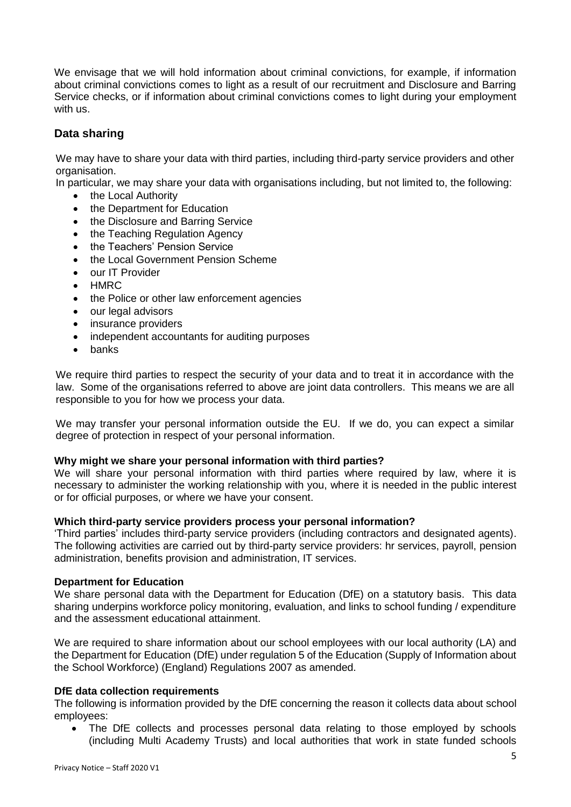We envisage that we will hold information about criminal convictions, for example, if information about criminal convictions comes to light as a result of our recruitment and Disclosure and Barring Service checks, or if information about criminal convictions comes to light during your employment with us.

## **Data sharing**

We may have to share your data with third parties, including third-party service providers and other organisation.

In particular, we may share your data with organisations including, but not limited to, the following:

- the Local Authority
- the Department for Education
- the Disclosure and Barring Service
- the Teaching Regulation Agency
- the Teachers' Pension Service
- the Local Government Pension Scheme
- our IT Provider
- **HMRC**
- the Police or other law enforcement agencies
- our legal advisors
- insurance providers
- independent accountants for auditing purposes
- banks

We require third parties to respect the security of your data and to treat it in accordance with the law. Some of the organisations referred to above are joint data controllers. This means we are all responsible to you for how we process your data.

We may transfer your personal information outside the EU. If we do, you can expect a similar degree of protection in respect of your personal information.

#### **Why might we share your personal information with third parties?**

We will share your personal information with third parties where required by law, where it is necessary to administer the working relationship with you, where it is needed in the public interest or for official purposes, or where we have your consent.

#### **Which third-party service providers process your personal information?**

'Third parties' includes third-party service providers (including contractors and designated agents). The following activities are carried out by third-party service providers: hr services, payroll, pension administration, benefits provision and administration, IT services.

#### **Department for Education**

We share personal data with the Department for Education (DfE) on a statutory basis. This data sharing underpins workforce policy monitoring, evaluation, and links to school funding / expenditure and the assessment educational attainment.

We are required to share information about our school employees with our local authority (LA) and the Department for Education (DfE) under regulation 5 of the Education (Supply of Information about the School Workforce) (England) Regulations 2007 as amended.

#### **DfE data collection requirements**

The following is information provided by the DfE concerning the reason it collects data about school employees:

• The DfE collects and processes personal data relating to those employed by schools (including Multi Academy Trusts) and local authorities that work in state funded schools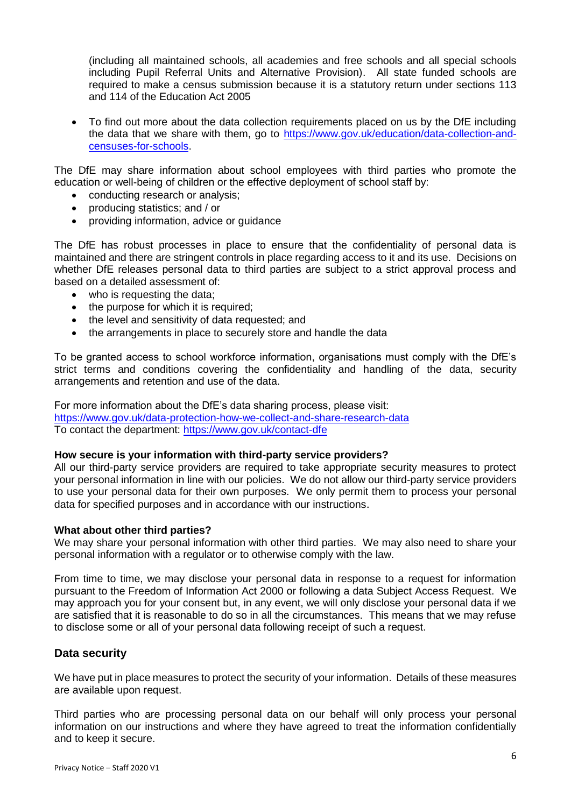(including all maintained schools, all academies and free schools and all special schools including Pupil Referral Units and Alternative Provision). All state funded schools are required to make a census submission because it is a statutory return under sections 113 and 114 of the Education Act 2005

 To find out more about the data collection requirements placed on us by the DfE including the data that we share with them, go to [https://www.gov.uk/education/data-collection-and](https://www.gov.uk/education/data-collection-and-censuses-for-schools)[censuses-for-schools.](https://www.gov.uk/education/data-collection-and-censuses-for-schools)

The DfE may share information about school employees with third parties who promote the education or well-being of children or the effective deployment of school staff by:

- conducting research or analysis;
- producing statistics; and / or
- providing information, advice or guidance

The DfE has robust processes in place to ensure that the confidentiality of personal data is maintained and there are stringent controls in place regarding access to it and its use. Decisions on whether DfE releases personal data to third parties are subject to a strict approval process and based on a detailed assessment of:

- who is requesting the data;
- the purpose for which it is required;
- the level and sensitivity of data requested: and
- the arrangements in place to securely store and handle the data

To be granted access to school workforce information, organisations must comply with the DfE's strict terms and conditions covering the confidentiality and handling of the data, security arrangements and retention and use of the data.

For more information about the DfE's data sharing process, please visit: <https://www.gov.uk/data-protection-how-we-collect-and-share-research-data> To contact the department:<https://www.gov.uk/contact-dfe>

#### **How secure is your information with third-party service providers?**

All our third-party service providers are required to take appropriate security measures to protect your personal information in line with our policies. We do not allow our third-party service providers to use your personal data for their own purposes. We only permit them to process your personal data for specified purposes and in accordance with our instructions.

#### **What about other third parties?**

We may share your personal information with other third parties. We may also need to share your personal information with a regulator or to otherwise comply with the law.

From time to time, we may disclose your personal data in response to a request for information pursuant to the Freedom of Information Act 2000 or following a data Subject Access Request. We may approach you for your consent but, in any event, we will only disclose your personal data if we are satisfied that it is reasonable to do so in all the circumstances. This means that we may refuse to disclose some or all of your personal data following receipt of such a request.

#### **Data security**

We have put in place measures to protect the security of your information. Details of these measures are available upon request.

Third parties who are processing personal data on our behalf will only process your personal information on our instructions and where they have agreed to treat the information confidentially and to keep it secure.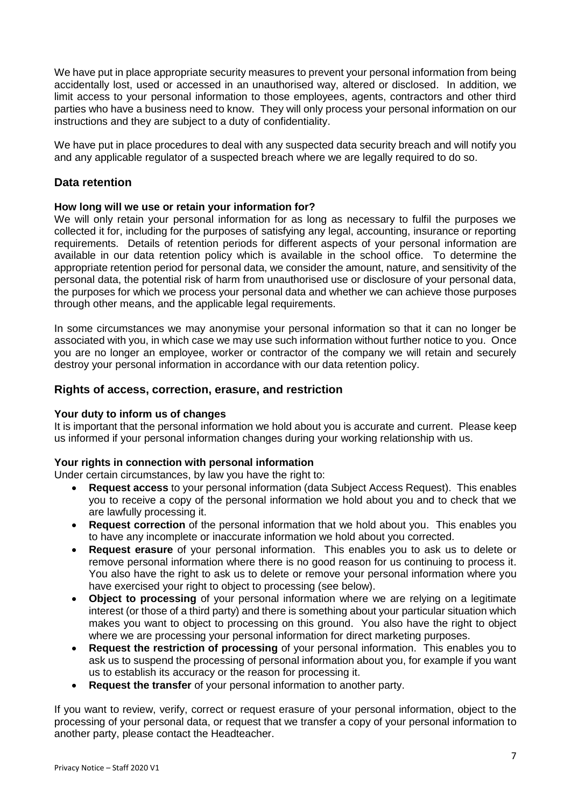We have put in place appropriate security measures to prevent your personal information from being accidentally lost, used or accessed in an unauthorised way, altered or disclosed. In addition, we limit access to your personal information to those employees, agents, contractors and other third parties who have a business need to know. They will only process your personal information on our instructions and they are subject to a duty of confidentiality.

We have put in place procedures to deal with any suspected data security breach and will notify you and any applicable regulator of a suspected breach where we are legally required to do so.

## **Data retention**

## **How long will we use or retain your information for?**

We will only retain your personal information for as long as necessary to fulfil the purposes we collected it for, including for the purposes of satisfying any legal, accounting, insurance or reporting requirements. Details of retention periods for different aspects of your personal information are available in our data retention policy which is available in the school office. To determine the appropriate retention period for personal data, we consider the amount, nature, and sensitivity of the personal data, the potential risk of harm from unauthorised use or disclosure of your personal data, the purposes for which we process your personal data and whether we can achieve those purposes through other means, and the applicable legal requirements.

In some circumstances we may anonymise your personal information so that it can no longer be associated with you, in which case we may use such information without further notice to you. Once you are no longer an employee, worker or contractor of the company we will retain and securely destroy your personal information in accordance with our data retention policy.

## **Rights of access, correction, erasure, and restriction**

## **Your duty to inform us of changes**

It is important that the personal information we hold about you is accurate and current. Please keep us informed if your personal information changes during your working relationship with us.

## **Your rights in connection with personal information**

Under certain circumstances, by law you have the right to:

- **Request access** to your personal information (data Subject Access Request). This enables you to receive a copy of the personal information we hold about you and to check that we are lawfully processing it.
- **Request correction** of the personal information that we hold about you. This enables you to have any incomplete or inaccurate information we hold about you corrected.
- **Request erasure** of your personal information. This enables you to ask us to delete or remove personal information where there is no good reason for us continuing to process it. You also have the right to ask us to delete or remove your personal information where you have exercised your right to object to processing (see below).
- **Object to processing** of your personal information where we are relying on a legitimate interest (or those of a third party) and there is something about your particular situation which makes you want to object to processing on this ground. You also have the right to object where we are processing your personal information for direct marketing purposes.
- **Request the restriction of processing** of your personal information. This enables you to ask us to suspend the processing of personal information about you, for example if you want us to establish its accuracy or the reason for processing it.
- **Request the transfer** of your personal information to another party.

If you want to review, verify, correct or request erasure of your personal information, object to the processing of your personal data, or request that we transfer a copy of your personal information to another party, please contact the Headteacher.